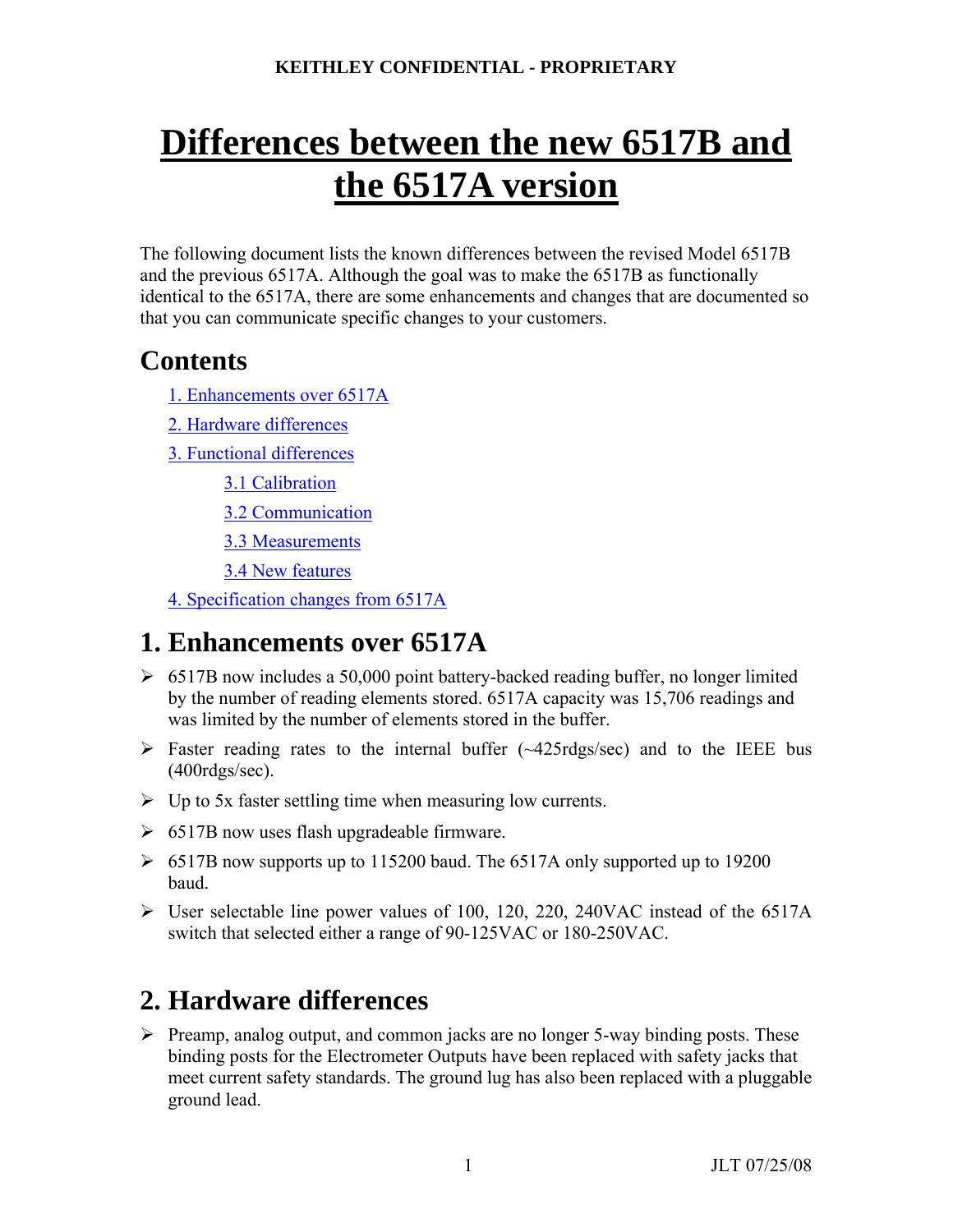# **Differences between the new 6517B and the 6517A version**

The following document lists the known differences between the revised Model 6517B and the previous 6517A. Although the goal was to make the 6517B as functionally identical to the 6517A, there are some enhancements and changes that are documented so that you can communicate specific changes to your customers.

# **Contents**

- 1. Enhancements over 6517A
- 2. Hardware differences
- 3. Functional differences
	- 3.1 Calibration
	- 3.2 Communication
	- 3.3 Measurements
	- 3.4 New features
- 4. Specification changes from 6517A

# **1. Enhancements over 6517A**

- $\geq 6517B$  now includes a 50,000 point battery-backed reading buffer, no longer limited by the number of reading elements stored. 6517A capacity was 15,706 readings and was limited by the number of elements stored in the buffer.
- $\triangleright$  Faster reading rates to the internal buffer (~425rdgs/sec) and to the IEEE bus (400rdgs/sec).
- $\triangleright$  Up to 5x faster settling time when measuring low currents.
- $\geq 6517B$  now uses flash upgradeable firmware.
- $\triangleright$  6517B now supports up to 115200 baud. The 6517A only supported up to 19200 baud.
- ¾ User selectable line power values of 100, 120, 220, 240VAC instead of the 6517A switch that selected either a range of 90-125VAC or 180-250VAC.

# **2. Hardware differences**

 $\triangleright$  Preamp, analog output, and common jacks are no longer 5-way binding posts. These binding posts for the Electrometer Outputs have been replaced with safety jacks that meet current safety standards. The ground lug has also been replaced with a pluggable ground lead.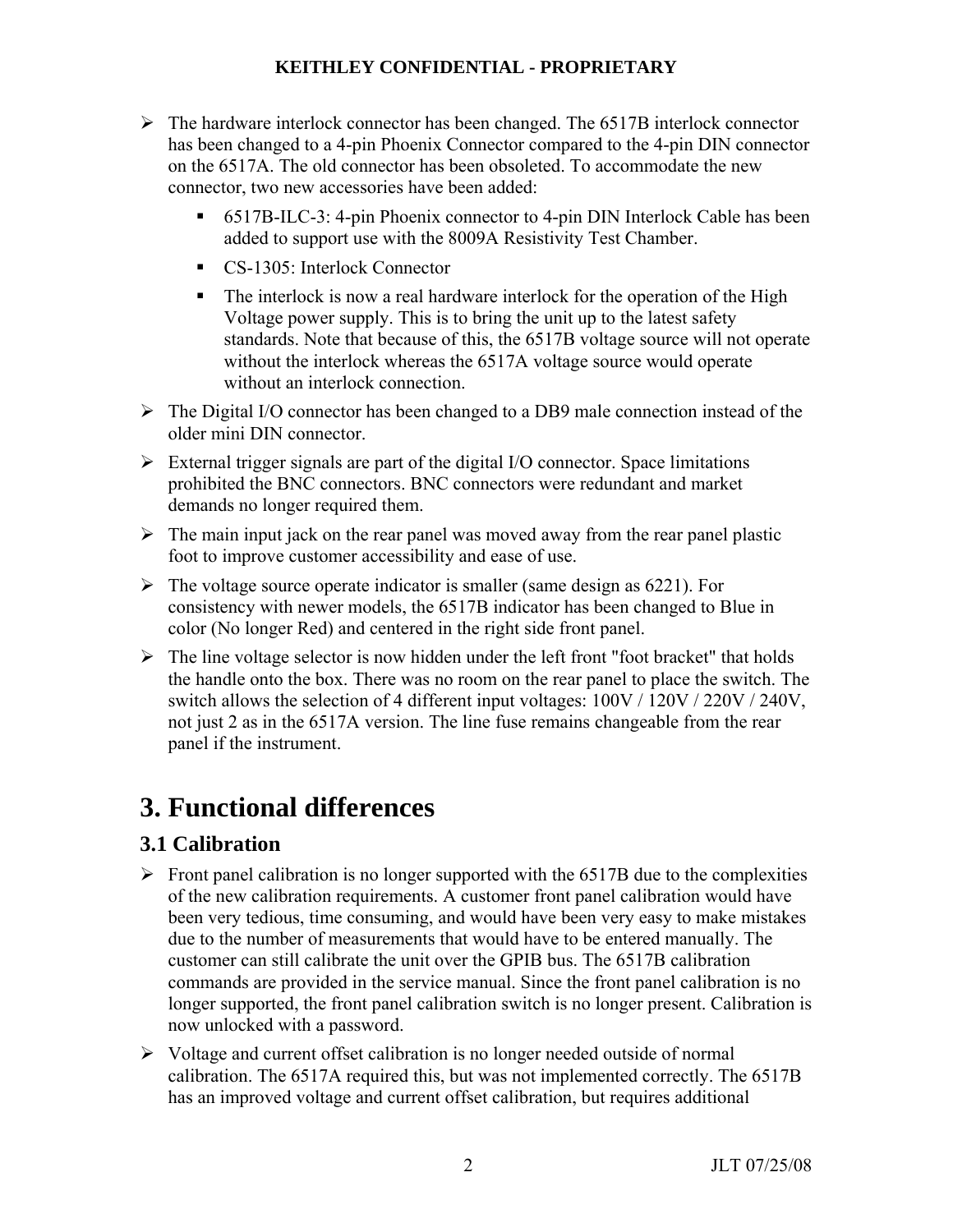- $\triangleright$  The hardware interlock connector has been changed. The 6517B interlock connector has been changed to a 4-pin Phoenix Connector compared to the 4-pin DIN connector on the 6517A. The old connector has been obsoleted. To accommodate the new connector, two new accessories have been added:
	- 6517B-ILC-3: 4-pin Phoenix connector to 4-pin DIN Interlock Cable has been added to support use with the 8009A Resistivity Test Chamber.
	- CS-1305: Interlock Connector
	- The interlock is now a real hardware interlock for the operation of the High Voltage power supply. This is to bring the unit up to the latest safety standards. Note that because of this, the 6517B voltage source will not operate without the interlock whereas the 6517A voltage source would operate without an interlock connection.
- $\triangleright$  The Digital I/O connector has been changed to a DB9 male connection instead of the older mini DIN connector.
- $\triangleright$  External trigger signals are part of the digital I/O connector. Space limitations prohibited the BNC connectors. BNC connectors were redundant and market demands no longer required them.
- $\triangleright$  The main input jack on the rear panel was moved away from the rear panel plastic foot to improve customer accessibility and ease of use.
- $\triangleright$  The voltage source operate indicator is smaller (same design as 6221). For consistency with newer models, the 6517B indicator has been changed to Blue in color (No longer Red) and centered in the right side front panel.
- $\triangleright$  The line voltage selector is now hidden under the left front "foot bracket" that holds the handle onto the box. There was no room on the rear panel to place the switch. The switch allows the selection of 4 different input voltages: 100V / 120V / 220V / 240V, not just 2 as in the 6517A version. The line fuse remains changeable from the rear panel if the instrument.

# **3. Functional differences**

# **3.1 Calibration**

- $\triangleright$  Front panel calibration is no longer supported with the 6517B due to the complexities of the new calibration requirements. A customer front panel calibration would have been very tedious, time consuming, and would have been very easy to make mistakes due to the number of measurements that would have to be entered manually. The customer can still calibrate the unit over the GPIB bus. The 6517B calibration commands are provided in the service manual. Since the front panel calibration is no longer supported, the front panel calibration switch is no longer present. Calibration is now unlocked with a password.
- $\triangleright$  Voltage and current offset calibration is no longer needed outside of normal calibration. The 6517A required this, but was not implemented correctly. The 6517B has an improved voltage and current offset calibration, but requires additional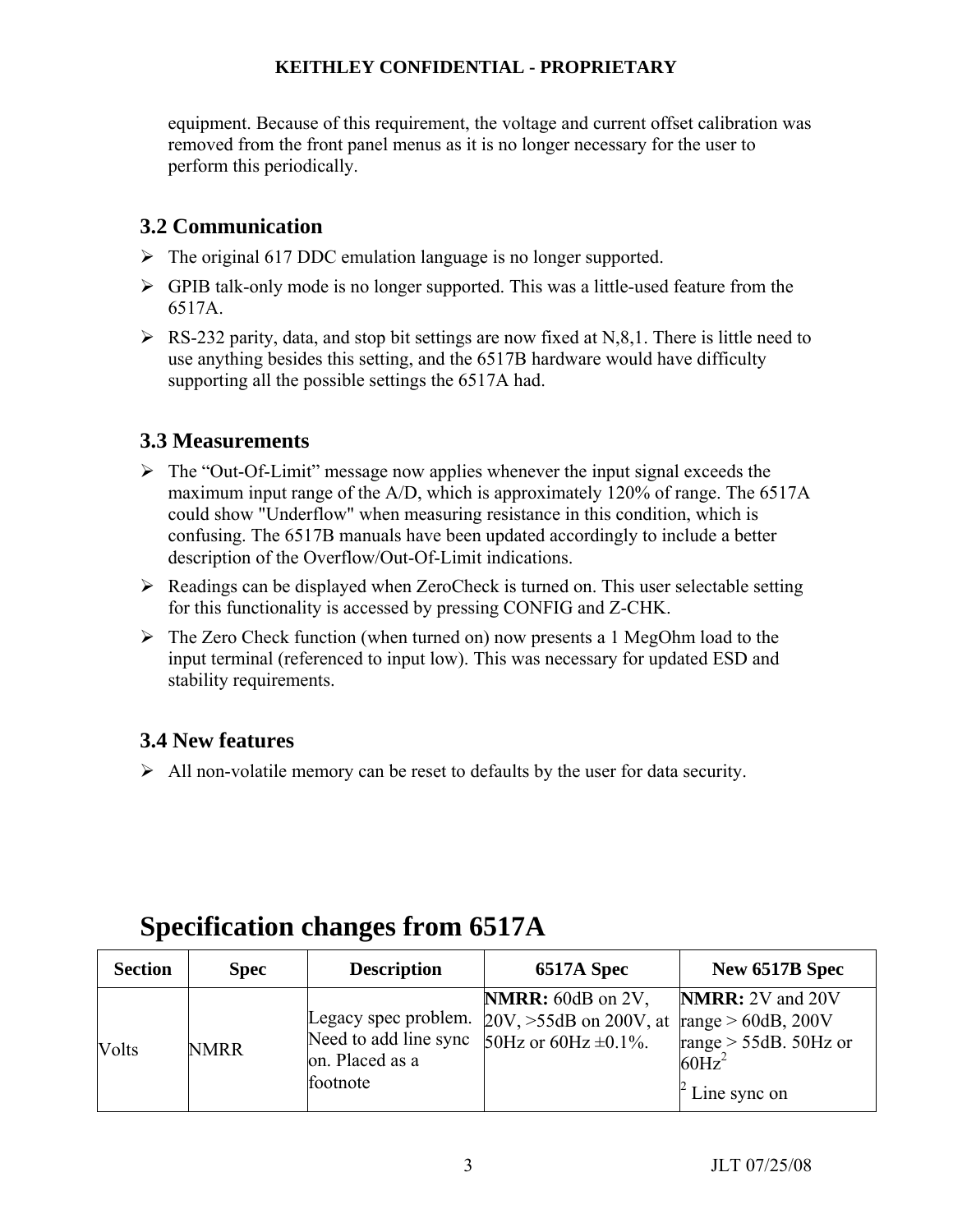equipment. Because of this requirement, the voltage and current offset calibration was removed from the front panel menus as it is no longer necessary for the user to perform this periodically.

# **3.2 Communication**

- $\triangleright$  The original 617 DDC emulation language is no longer supported.
- $\triangleright$  GPIB talk-only mode is no longer supported. This was a little-used feature from the 6517A.
- $\triangleright$  RS-232 parity, data, and stop bit settings are now fixed at N,8,1. There is little need to use anything besides this setting, and the 6517B hardware would have difficulty supporting all the possible settings the 6517A had.

# **3.3 Measurements**

- $\triangleright$  The "Out-Of-Limit" message now applies whenever the input signal exceeds the maximum input range of the A/D, which is approximately 120% of range. The 6517A could show "Underflow" when measuring resistance in this condition, which is confusing. The 6517B manuals have been updated accordingly to include a better description of the Overflow/Out-Of-Limit indications.
- $\triangleright$  Readings can be displayed when ZeroCheck is turned on. This user selectable setting for this functionality is accessed by pressing CONFIG and Z-CHK.
- $\triangleright$  The Zero Check function (when turned on) now presents a 1 MegOhm load to the input terminal (referenced to input low). This was necessary for updated ESD and stability requirements.

# **3.4 New features**

 $\triangleright$  All non-volatile memory can be reset to defaults by the user for data security.

| <b>Section</b> | <b>Spec</b> | <b>Description</b>                                                           | 6517A Spec                                                                | New 6517B Spec                                                                                                        |
|----------------|-------------|------------------------------------------------------------------------------|---------------------------------------------------------------------------|-----------------------------------------------------------------------------------------------------------------------|
| Volts          | <b>NMRR</b> | Legacy spec problem.<br>Need to add line sync<br>on. Placed as a<br>footnote | NMRR: 60dB on 2V,<br>$20V, >55dB$ on 200V, at<br>50Hz or 60Hz $\pm$ 0.1%. | <b>NMRR:</b> 2V and 20V<br>range $> 60$ dB, 200V<br>range $> 55dB$ . 50Hz or<br>$60\text{Hz}^2$<br>$\pm$ Line sync on |

# **Specification changes from 6517A**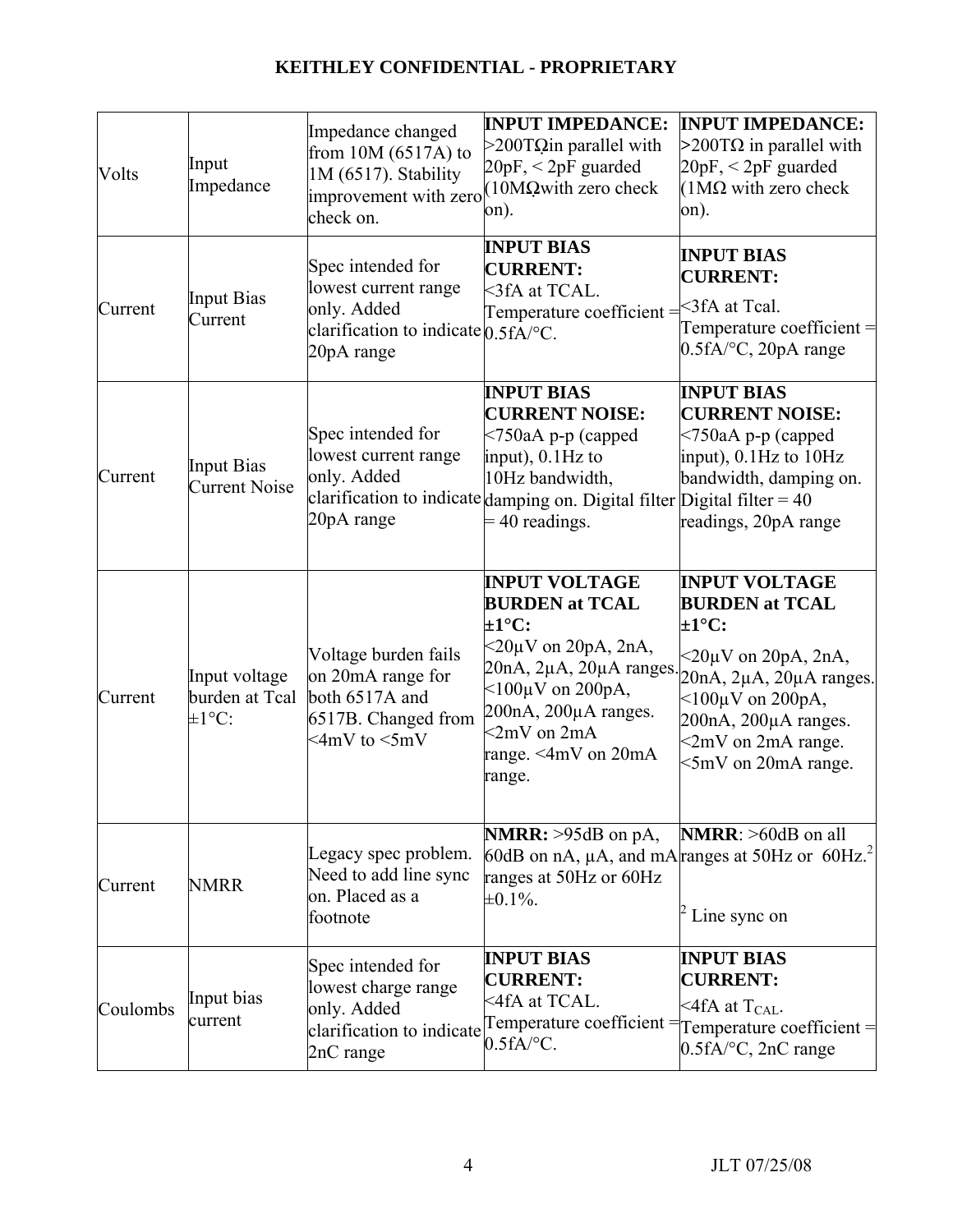| Volts    | Input<br>Impedance                             | Impedance changed<br>from $10M(6517A)$ to<br>1M (6517). Stability<br>check on.                                               | <b>INPUT IMPEDANCE:</b><br>$>$ 200TQin parallel with<br>$20pF, < 2pF$ guarded<br>improvement with zero (10MQwith zero check<br>on).                                                                                                                               | <b>INPUT IMPEDANCE:</b><br>$>$ 200TΩ in parallel with<br>$20pF, < 2pF$ guarded<br>$(1M\Omega)$ with zero check<br>on).                                                                                                                                    |
|----------|------------------------------------------------|------------------------------------------------------------------------------------------------------------------------------|-------------------------------------------------------------------------------------------------------------------------------------------------------------------------------------------------------------------------------------------------------------------|-----------------------------------------------------------------------------------------------------------------------------------------------------------------------------------------------------------------------------------------------------------|
| Current  | <b>Input Bias</b><br>Current                   | Spec intended for<br>lowest current range<br>only. Added<br>clarification to indicate $0.5 fA$ <sup>o</sup> C.<br>20pA range | <b>INPUT BIAS</b><br><b>CURRENT:</b><br><3fA at TCAL.<br>Temperature coefficient $=$ $\leq$ 3fA at Tcal.                                                                                                                                                          | <b>INPUT BIAS</b><br><b>CURRENT:</b><br>Temperature coefficient $=$<br>$0.5fA$ /°C, 20pA range                                                                                                                                                            |
| Current  | <b>Input Bias</b><br><b>Current Noise</b>      | Spec intended for<br>lowest current range<br>only. Added<br>20pA range                                                       | <b>INPUT BIAS</b><br><b>CURRENT NOISE:</b><br>$\leq$ 750aA p-p (capped<br>input), $0.1$ Hz to<br>10Hz bandwidth,<br>clarification to indicate damping on. Digital filter Digital filter = 40<br>$=$ 40 readings.                                                  | <b>INPUT BIAS</b><br><b>CURRENT NOISE:</b><br>$<$ 750aA p-p (capped<br>input), 0.1Hz to 10Hz<br>bandwidth, damping on.<br>readings, 20pA range                                                                                                            |
| Current  | Input voltage<br>burden at Tcal<br>$\pm 1$ °C: | Voltage burden fails<br>on 20mA range for<br>both 6517A and<br>6517B. Changed from<br>$\leq 4mV$ to $\leq 5mV$               | <b>INPUT VOLTAGE</b><br><b>BURDEN</b> at TCAL<br>$\pm 1^{\circ}$ C:<br>$\leq$ 20µV on 20pA, 2nA,<br>$20nA$ , $2\mu A$ , $20\mu A$ ranges.<br>$<$ 100 $\mu$ V on 200pA,<br>200nA, 200µA ranges.<br>$\langle 2mV \rangle$ on $2mA$<br>range. <4mV on 20mA<br>range. | <b>INPUT VOLTAGE</b><br><b>BURDEN</b> at TCAL<br>$\pm 1^{\circ}$ C:<br>$\leq$ 20µV on 20pA, 2nA,<br>$20nA$ , $2\mu A$ , $20\mu A$ ranges.<br>$<$ 100 $\mu$ V on 200pA,<br>$200nA$ , $200\mu A$ ranges.<br>$\leq$ 2mV on 2mA range.<br><5mV on 20mA range. |
| Current  | <b>NMRR</b>                                    | Legacy spec problem.<br>Need to add line sync<br>on. Placed as a<br>footnote                                                 | <b>NMRR:</b> $>95dB$ on pA,<br>ranges at 50Hz or 60Hz<br>$\pm 0.1\%$ .                                                                                                                                                                                            | $NMRR$ : $>60dB$ on all<br>60dB on nA, $\mu$ A, and mA ranges at 50Hz or 60Hz. <sup>2</sup><br>Line sync on                                                                                                                                               |
| Coulombs | Input bias<br>current                          | Spec intended for<br>lowest charge range<br>only. Added<br>clarification to indicate<br>2nC range                            | <b>INPUT BIAS</b><br><b>CURRENT:</b><br><4fA at TCAL.<br>$0.5fA$ <sup>o</sup> C.                                                                                                                                                                                  | <b>INPUT BIAS</b><br><b>CURRENT:</b><br>$\leq$ 4fA at T <sub>CAL</sub> .<br>Temperature coefficient = Temperature coefficient =<br>$0.5fA$ <sup>o</sup> C, 2nC range                                                                                      |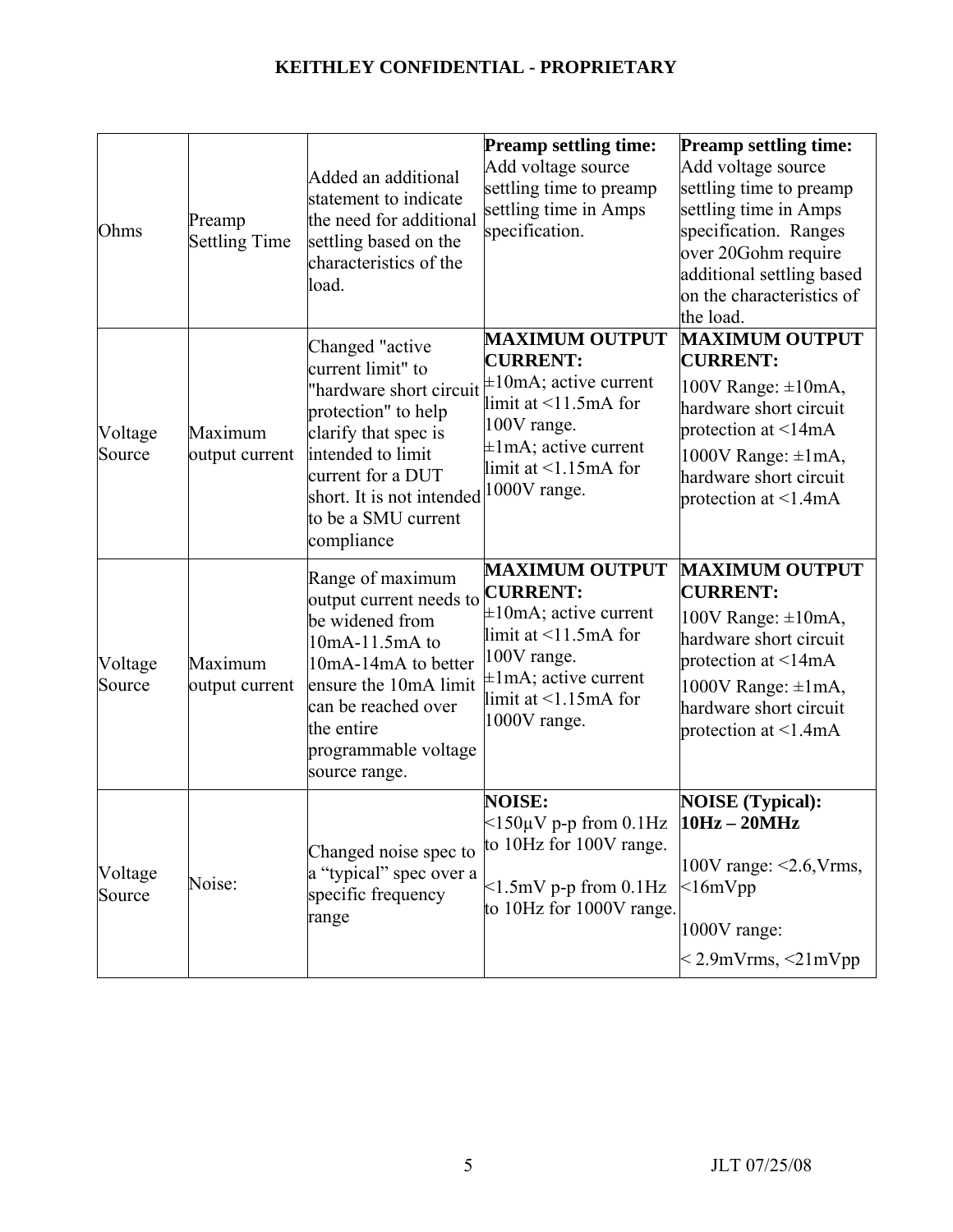| Ohms              | Preamp<br><b>Settling Time</b> | Added an additional<br>statement to indicate<br>the need for additional<br>settling based on the<br>characteristics of the<br>load.                                                                                         | <b>Preamp settling time:</b><br>Add voltage source<br>settling time to preamp<br>settling time in Amps<br>specification.                                                                          | <b>Preamp settling time:</b><br>Add voltage source<br>settling time to preamp<br>settling time in Amps<br>specification. Ranges<br>over 20Gohm require<br>additional settling based<br>on the characteristics of<br>the load.   |
|-------------------|--------------------------------|-----------------------------------------------------------------------------------------------------------------------------------------------------------------------------------------------------------------------------|---------------------------------------------------------------------------------------------------------------------------------------------------------------------------------------------------|---------------------------------------------------------------------------------------------------------------------------------------------------------------------------------------------------------------------------------|
| Voltage<br>Source | Maximum<br>output current      | Changed "active"<br>current limit" to<br>'hardware short circuit<br>protection" to help<br>clarify that spec is<br>intended to limit<br>current for a DUT<br>short. It is not intended<br>to be a SMU current<br>compliance | <b>MAXIMUM OUTPUT</b><br><b>CURRENT:</b><br>$\pm 10$ mA; active current<br>limit at $\leq$ 11.5mA for<br>100V range.<br>$\pm 1$ mA; active current<br>limit at $\leq 1.15$ mA for<br>1000V range. | <b>MAXIMUM OUTPUT</b><br><b>CURRENT:</b><br>100V Range: $\pm 10$ mA,<br>hardware short circuit<br>protection at $\leq 14 \text{mA}$<br>1000V Range: $\pm 1$ mA,<br>hardware short circuit<br>protection at $\leq 1.4 \text{mA}$ |
| Voltage<br>Source | Maximum<br>output current      | Range of maximum<br>output current needs to<br>be widened from<br>10mA-11.5mA to<br>10mA-14mA to better<br>ensure the 10mA limit<br>can be reached over<br>the entire<br>programmable voltage<br>source range.              | <b>MAXIMUM OUTPUT</b><br><b>CURRENT:</b><br>$\pm 10$ mA; active current<br>limit at $\leq$ 11.5mA for<br>100V range.<br>$\pm 1$ mA; active current<br>limit at $\leq 1.15$ mA for<br>1000V range. | <b>MAXIMUM OUTPUT</b><br><b>CURRENT:</b><br>100V Range: $\pm 10$ mA,<br>hardware short circuit<br>protection at $\leq 14 \text{mA}$<br>1000V Range: $\pm 1$ mA,<br>hardware short circuit<br>protection at $\leq 1.4$ mA        |
| Voltage<br>Source | Noise:                         | Changed noise spec to<br>a "typical" spec over a<br>specific frequency<br>range                                                                                                                                             | <b>NOISE:</b><br>$\leq 150 \mu V$ p-p from 0.1Hz $10 Hz - 20 MHz$<br>to 10Hz for 100V range.<br>$\leq$ 1.5mV p-p from 0.1Hz<br>to 10Hz for 1000V range.                                           | <b>NOISE</b> (Typical):<br>$100V$ range: $\leq 2.6$ , Vrms,<br>$<$ 16m $V$ pp<br>1000V range:<br>$<$ 2.9mVrms, $<$ 21mVpp                                                                                                       |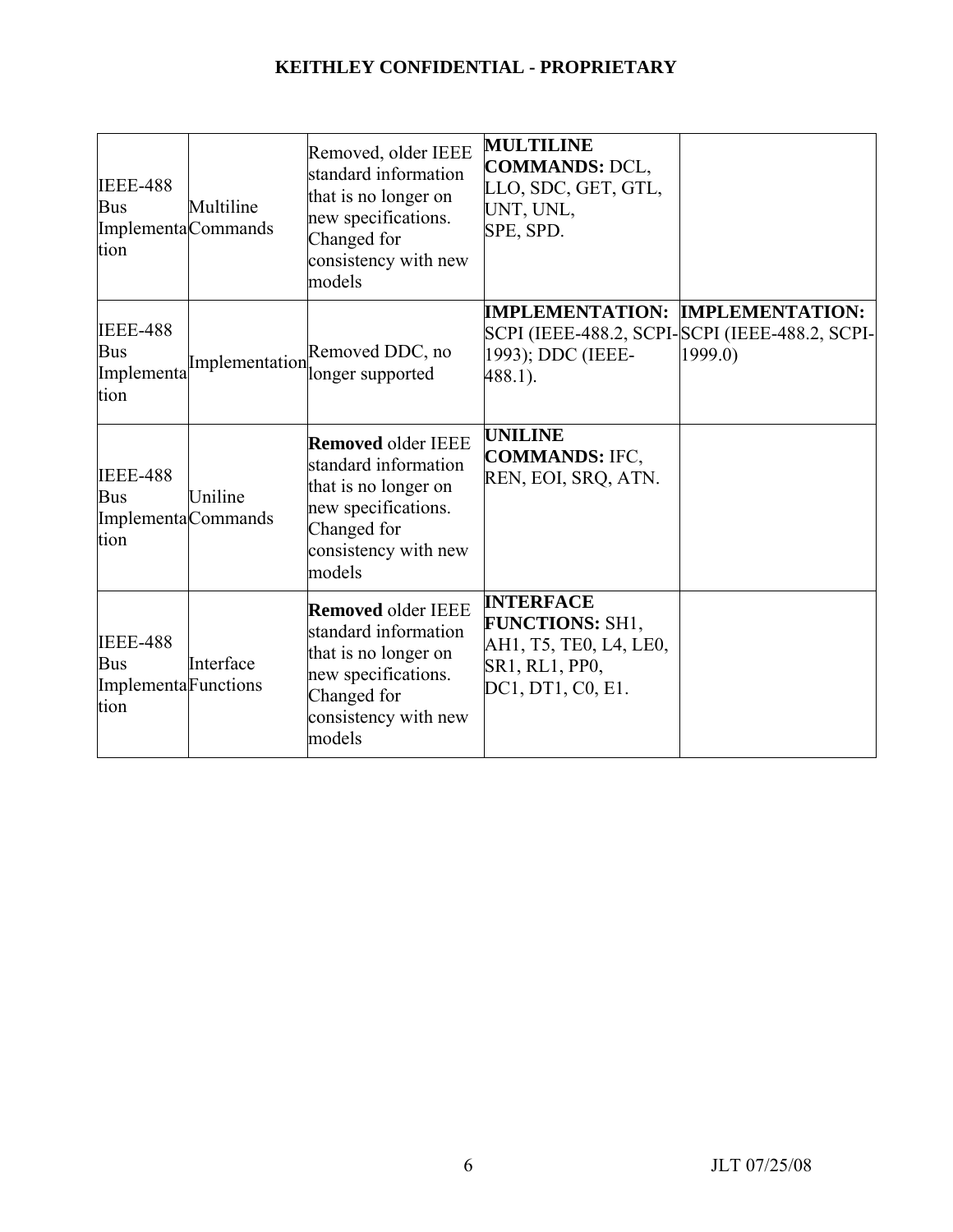| <b>IEEE-488</b><br>Bus<br>ImplementaCommands<br>tion          | Multiline                            | Removed, older IEEE<br>standard information<br>that is no longer on<br>new specifications.<br>Changed for<br>consistency with new<br>models       | <b>MULTILINE</b><br><b>COMMANDS: DCL,</b><br>LLO, SDC, GET, GTL,<br>UNT, UNL,<br>SPE, SPD.                  |                                                           |
|---------------------------------------------------------------|--------------------------------------|---------------------------------------------------------------------------------------------------------------------------------------------------|-------------------------------------------------------------------------------------------------------------|-----------------------------------------------------------|
| <b>IEEE-488</b><br><b>Bus</b><br>tion                         | Implementa <sup>Implementation</sup> | Removed DDC, no<br>longer supported                                                                                                               | <b>IMPLEMENTATION: IMPLEMENTATION:</b><br>1993); DDC (IEEE-<br>488.1).                                      | SCPI (IEEE-488.2, SCPI-SCPI (IEEE-488.2, SCPI-<br>1999.0) |
| <b>IEEE-488</b><br><b>Bus</b><br>ImplementaCommands<br>tion   | Uniline                              | <b>Removed older IEEE</b><br>standard information<br>that is no longer on<br>new specifications.<br>Changed for<br>consistency with new<br>models | <b>UNILINE</b><br><b>COMMANDS: IFC,</b><br>REN, EOI, SRQ, ATN.                                              |                                                           |
| <b>IEEE-488</b><br><b>Bus</b><br>Implementa Functions<br>tion | Interface                            | <b>Removed older IEEE</b><br>standard information<br>that is no longer on<br>new specifications.<br>Changed for<br>consistency with new<br>models | <b>INTERFACE</b><br><b>FUNCTIONS: SH1,</b><br>AH1, T5, TE0, L4, LE0,<br>SR1, RL1, PP0,<br>DC1, DT1, C0, E1. |                                                           |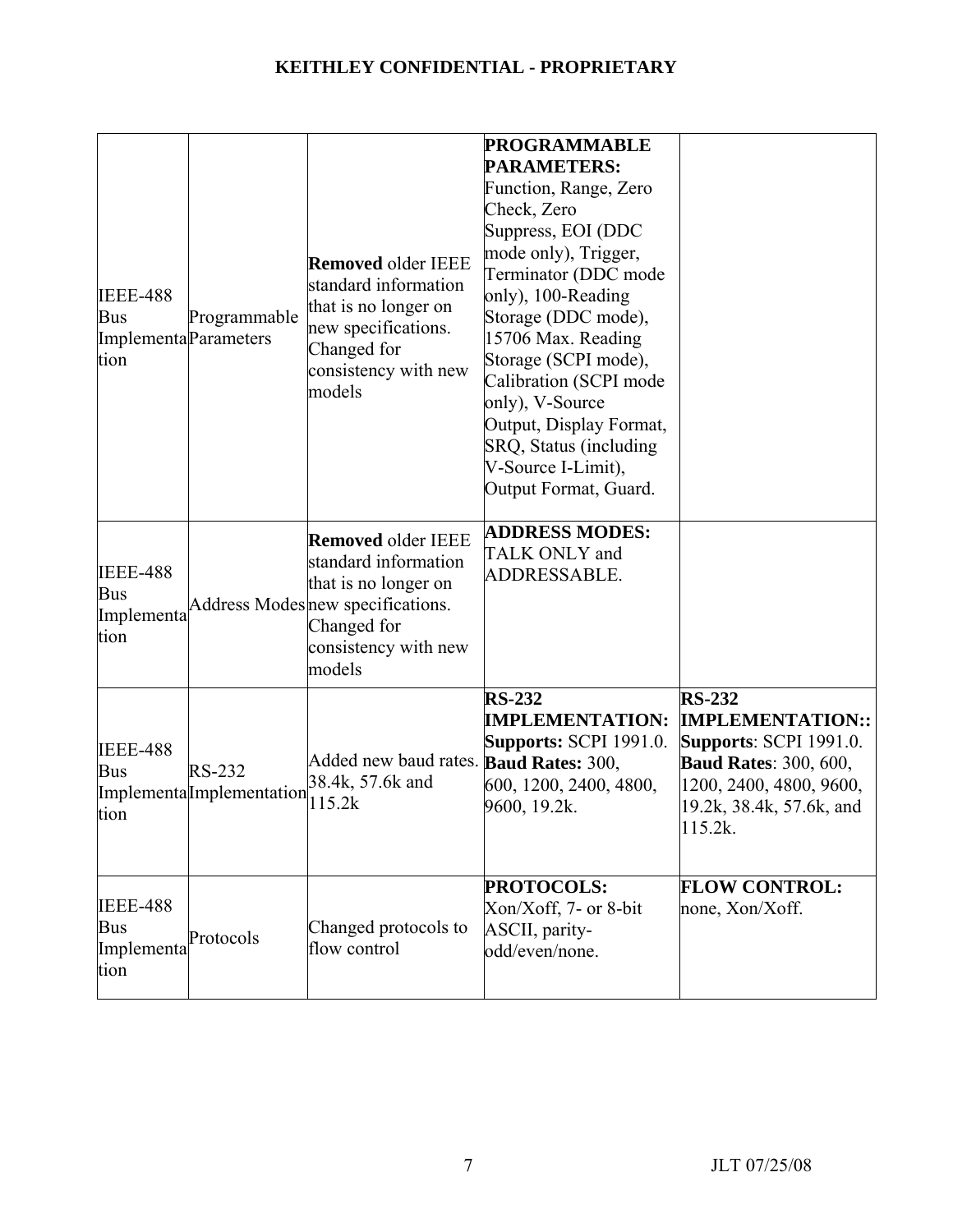| <b>IEEE-488</b><br><b>Bus</b><br>Implementa Parameters<br>tion | Programmable                        | <b>Removed older IEEE</b><br>standard information<br>that is no longer on<br>new specifications.<br>Changed for<br>consistency with new<br>models               | <b>PROGRAMMABLE</b><br><b>PARAMETERS:</b><br>Function, Range, Zero<br>Check, Zero<br>Suppress, EOI (DDC<br>mode only), Trigger,<br>Terminator (DDC mode<br>only), 100-Reading<br>Storage (DDC mode),<br>15706 Max. Reading<br>Storage (SCPI mode),<br>Calibration (SCPI mode<br>only), V-Source<br>Output, Display Format,<br>SRQ, Status (including<br>V-Source I-Limit),<br>Output Format, Guard. |                                                                                                                                                                             |
|----------------------------------------------------------------|-------------------------------------|-----------------------------------------------------------------------------------------------------------------------------------------------------------------|-----------------------------------------------------------------------------------------------------------------------------------------------------------------------------------------------------------------------------------------------------------------------------------------------------------------------------------------------------------------------------------------------------|-----------------------------------------------------------------------------------------------------------------------------------------------------------------------------|
| <b>IEEE-488</b><br><b>Bus</b><br>Implementa<br>tion            |                                     | <b>Removed older IEEE</b><br>standard information<br>that is no longer on<br>Address Modes new specifications.<br>Changed for<br>consistency with new<br>models | <b>ADDRESS MODES:</b><br>TALK ONLY and<br>ADDRESSABLE.                                                                                                                                                                                                                                                                                                                                              |                                                                                                                                                                             |
| <b>IEEE-488</b><br><b>Bus</b><br>tion                          | RS-232<br>ImplementalImplementation | Added new baud rates. Baud Rates: 300,<br>38.4k, 57.6k and<br>115.2k                                                                                            | <b>RS-232</b><br><b>IMPLEMENTATION:</b><br><b>Supports: SCPI 1991.0.</b><br>600, 1200, 2400, 4800,<br>9600, 19.2k.                                                                                                                                                                                                                                                                                  | <b>RS-232</b><br><b>IMPLEMENTATION::</b><br><b>Supports: SCPI 1991.0.</b><br><b>Baud Rates: 300, 600,</b><br>1200, 2400, 4800, 9600,<br>19.2k, 38.4k, 57.6k, and<br>115.2k. |
| <b>IEEE-488</b><br><b>Bus</b><br>Implementa<br>tion            | Protocols                           | Changed protocols to<br>flow control                                                                                                                            | <b>PROTOCOLS:</b><br>Xon/Xoff, 7- or 8-bit<br>ASCII, parity-<br>odd/even/none.                                                                                                                                                                                                                                                                                                                      | <b>FLOW CONTROL:</b><br>none, Xon/Xoff.                                                                                                                                     |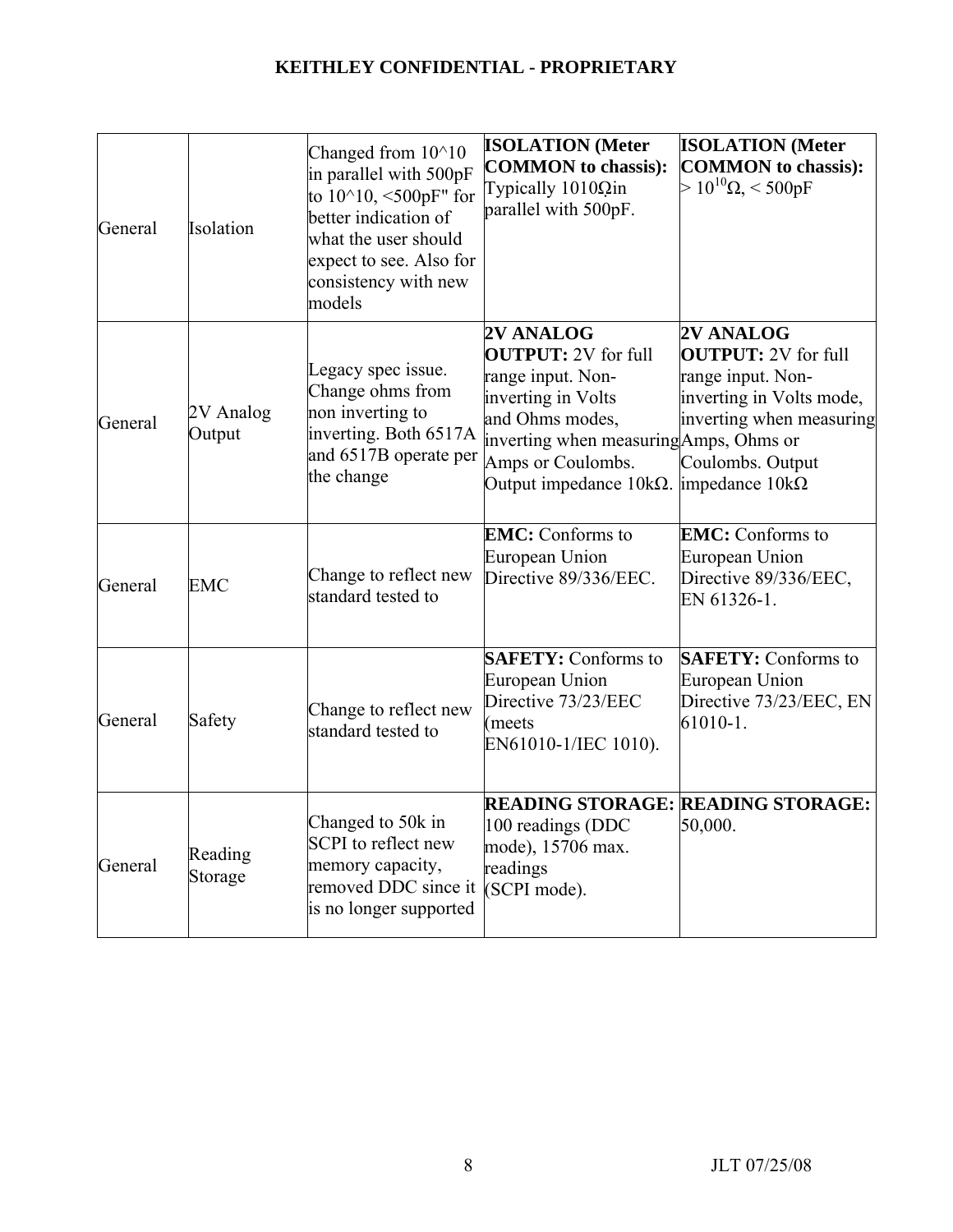| General | Isolation           | Changed from 10^10<br>in parallel with 500pF<br>to $10^{\text{A}}10, \le 500$ pF" for<br>better indication of<br>what the user should<br>expect to see. Also for<br>consistency with new<br>models | <b>ISOLATION</b> (Meter<br><b>COMMON</b> to chassis):<br>Typically $1010\Omega$ in<br>parallel with 500pF.                                                                                              | <b>ISOLATION</b> (Meter<br><b>COMMON</b> to chassis):<br>$>10^{10} \Omega < 500 \mathrm{pF}$                                             |
|---------|---------------------|----------------------------------------------------------------------------------------------------------------------------------------------------------------------------------------------------|---------------------------------------------------------------------------------------------------------------------------------------------------------------------------------------------------------|------------------------------------------------------------------------------------------------------------------------------------------|
| General | 2V Analog<br>Output | Legacy spec issue.<br>Change ohms from<br>non inverting to<br>inverting. Both 6517A<br>and $6517B$ operate per $\vert_{\text{Amps}}$ or Coulombs.<br>the change                                    | 2V ANALOG<br><b>OUTPUT:</b> 2V for full<br>range input. Non-<br>inverting in Volts<br>and Ohms modes,<br>inverting when measuring Amps, Ohms or<br>Output impedance $10k\Omega$ . impedance $10k\Omega$ | 2V ANALOG<br><b>OUTPUT: 2V</b> for full<br>range input. Non-<br>inverting in Volts mode,<br>inverting when measuring<br>Coulombs. Output |
| General | <b>EMC</b>          | Change to reflect new<br>standard tested to                                                                                                                                                        | <b>EMC:</b> Conforms to<br>European Union<br>Directive 89/336/EEC.                                                                                                                                      | <b>EMC:</b> Conforms to<br>European Union<br>Directive 89/336/EEC,<br>EN 61326-1.                                                        |
| General | Safety              | Change to reflect new<br>standard tested to                                                                                                                                                        | <b>SAFETY:</b> Conforms to<br>European Union<br>Directive 73/23/EEC<br>(meets<br>EN61010-1/IEC 1010).                                                                                                   | <b>SAFETY: Conforms to</b><br>European Union<br>Directive 73/23/EEC, EN<br>$61010 - 1.$                                                  |
| General | Reading<br>Storage  | Changed to 50k in<br>SCPI to reflect new<br>memory capacity,<br>removed DDC since it<br>is no longer supported                                                                                     | <b>READING STORAGE: READING STORAGE:</b><br>100 readings (DDC<br>mode), 15706 max.<br>readings<br>(SCPI mode).                                                                                          | 50,000.                                                                                                                                  |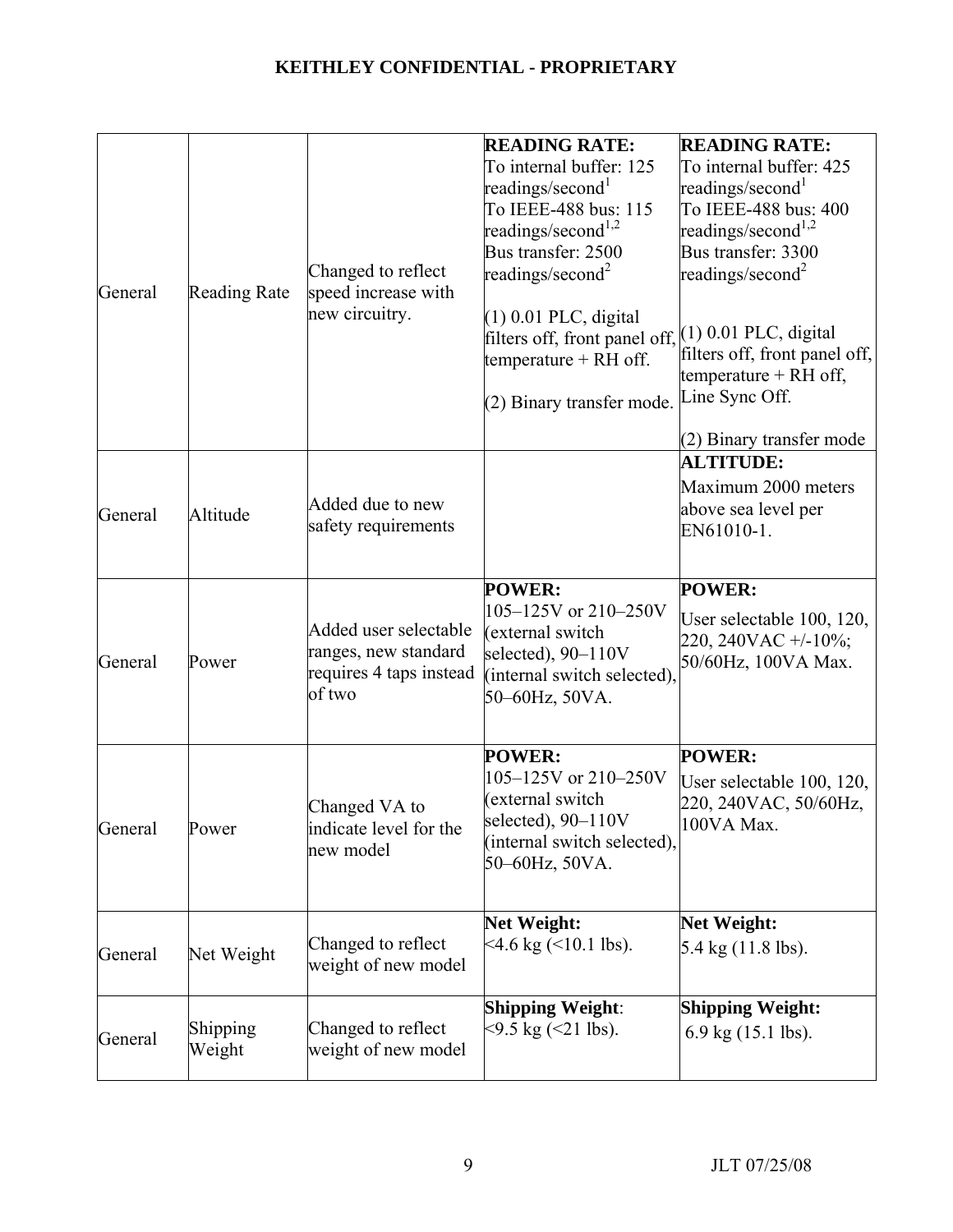| General | <b>Reading Rate</b> | Changed to reflect<br>speed increase with<br>new circuitry.                        | <b>READING RATE:</b><br>To internal buffer: 125<br>readings/second <sup>1</sup><br>To IEEE-488 bus: 115<br>readings/second <sup>1,2</sup><br>Bus transfer: 2500<br>readings/second <sup>2</sup> | <b>READING RATE:</b><br>To internal buffer: 425<br>readings/second <sup>1</sup><br>To IEEE-488 bus: 400<br>readings/second <sup>1,2</sup><br>Bus transfer: 3300<br>readings/second <sup>2</sup> |
|---------|---------------------|------------------------------------------------------------------------------------|-------------------------------------------------------------------------------------------------------------------------------------------------------------------------------------------------|-------------------------------------------------------------------------------------------------------------------------------------------------------------------------------------------------|
|         |                     |                                                                                    | $(1)$ 0.01 PLC, digital<br>filters off, front panel off, $(1)$ 0.01 PLC, digital<br>temperature + RH off.<br>(2) Binary transfer mode.                                                          | filters off, front panel off,<br>temperature $+ RH$ off,<br>Line Sync Off.                                                                                                                      |
|         |                     |                                                                                    |                                                                                                                                                                                                 | (2) Binary transfer mode                                                                                                                                                                        |
| General | Altitude            | Added due to new<br>safety requirements                                            |                                                                                                                                                                                                 | <b>ALTITUDE:</b><br>Maximum 2000 meters<br>above sea level per<br>EN61010-1.                                                                                                                    |
| General | Power               | Added user selectable<br>ranges, new standard<br>requires 4 taps instead<br>of two | <b>POWER:</b><br>105-125V or 210-250V<br>(external switch<br>selected), 90-110V<br>(internal switch selected),<br>50-60Hz, 50VA.                                                                | <b>POWER:</b><br>User selectable 100, 120,<br>220, 240VAC $+/-10\%$ ;<br>50/60Hz, 100VA Max.                                                                                                    |
| General | Power               | Changed VA to<br>indicate level for the<br>new model                               | <b>POWER:</b><br>105-125V or 210-250V<br>(external switch<br>selected), $90-110V$<br>(internal switch selected),<br>50-60Hz, 50VA.                                                              | <b>POWER:</b><br>User selectable 100, 120,<br>220, 240VAC, 50/60Hz,<br>100VA Max.                                                                                                               |
| General | Net Weight          | Changed to reflect<br>weight of new model                                          | <b>Net Weight:</b><br>$4.6 \text{ kg}$ ( $410.1 \text{ lbs}$ ).                                                                                                                                 | <b>Net Weight:</b><br>5.4 kg (11.8 lbs).                                                                                                                                                        |
| General | Shipping<br>Weight  | Changed to reflect<br>weight of new model                                          | <b>Shipping Weight:</b><br>$\approx$ 9.5 kg ( $\approx$ 21 lbs).                                                                                                                                | <b>Shipping Weight:</b><br>$6.9$ kg $(15.1$ lbs).                                                                                                                                               |